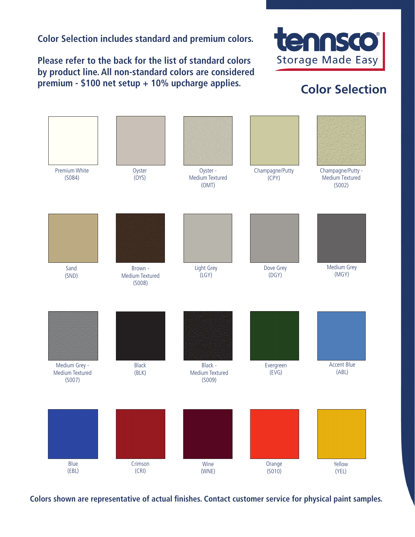**Color Selection includes standard and premium colors.**

**Please refer to the back for the list of standard colors by product line. All non-standard colors are considered premium - \$100 net setup + 10% upcharge applies.**



## **Color Selection**



**Colors shown are representative of actual finishes. Contact customer service for physical paint samples.**